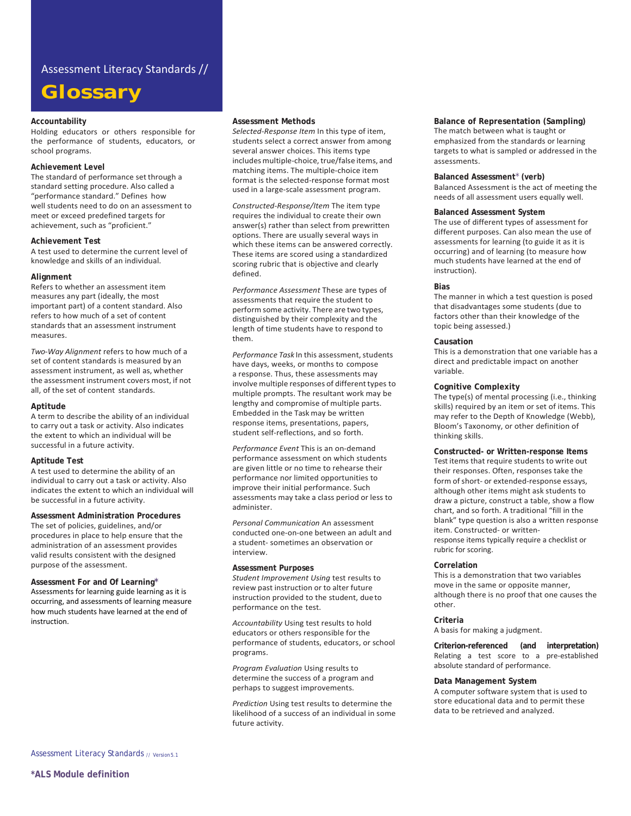## Assessment Literacy Standards //

# **Glossary**

## **Accountability**

Holding educators or others responsible for the performance of students, educators, or school programs.

## **Achievement Level**

The standard of performance set through a standard setting procedure. Also called a "performance standard." Defines how well students need to do on an assessment to meet or exceed predefined targets for achievement, such as "proficient."

#### **Achievement Test**

A test used to determine the current level of knowledge and skills of an individual.

#### **Alignment**

Refers to whether an assessment item measures any part (ideally, the most important part) of a content standard. Also refers to how much of a set of content standards that an assessment instrument measures.

*Two-Way Alignment* refers to how much of a set of content standards is measured by an assessment instrument, as well as, whether the assessment instrument covers most, if not all, of the set of content standards.

## **Aptitude**

A term to describe the ability of an individual to carry out a task or activity. Also indicates the extent to which an individual will be successful in a future activity.

#### **Aptitude Test**

A test used to determine the ability of an individual to carry out a task or activity. Also indicates the extent to which an individual will be successful in a future activity.

**Assessment Administration Procedures**  The set of policies, guidelines, and/or procedures in place to help ensure that the administration of an assessment provides valid results consistent with the designed purpose of the assessment.

**Assessment For and Of Learning\*** Assessments for learning guide learning as it is occurring, and assessments of learning measure how much students have learned at the end of instruction.

#### **Assessment Methods**

*Selected-Response Item* In this type of item, students select a correct answer from among several answer choices. This items type includes multiple-choice, true/false items, and matching items. The multiple-choice item format is the selected-response format most used in a large-scale assessment program.

*Constructed-Response/Item* The item type requires the individual to create their own answer(s) rather than select from prewritten options. There are usually several ways in which these items can be answered correctly. These items are scored using a standardized scoring rubric that is objective and clearly defined.

*Performance Assessment* These are types of assessments that require the student to perform some activity. There are two types, distinguished by their complexity and the length of time students have to respond to them.

Performance Task In this assessment, students have days, weeks, or months to compose a response. Thus, these assessments may involve multiple responses of different types to multiple prompts. The resultant work may be lengthy and compromise of multiple parts. Embedded in the Task may be written response items, presentations, papers, student self-reflections, and so forth.

*Performance Event* This is an on-demand performance assessment on which students are given little or no time to rehearse their performance nor limited opportunities to improve their initial performance. Such assessments may take a class period or less to administer.

*Personal Communication* An assessment conducted one-on-one between an adult and a student- sometimes an observation or interview.

## **Assessment Purposes**

*Student Improvement Using* test results to review past instruction or to alter future instruction provided to the student, due to performance on the test.

*Accountability* Using test results to hold educators or others responsible for the performance of students, educators, or school programs.

*Program Evaluation* Using results to determine the success of a program and perhaps to suggest improvements.

*Prediction* Using test results to determine the likelihood of a success of an individual in some future activity.

**Balance of Representation (Sampling)** The match between what is taught or emphasized from the standards or learning targets to what is sampled or addressed in the assessments.

## **Balanced Assessment**\* **(verb)**

Balanced Assessment is the act of meeting the needs of all assessment users equally well.

## **Balanced Assessment System**

The use of different types of assessment for different purposes. Can also mean the use of assessments for learning (to guide it as it is occurring) and of learning (to measure how much students have learned at the end of instruction).

#### **Bias**

The manner in which a test question is posed that disadvantages some students (due to factors other than their knowledge of the topic being assessed.)

#### **Causation**

This is a demonstration that one variable has a direct and predictable impact on another variable.

## **Cognitive Complexity**

The type(s) of mental processing (i.e., thinking skills) required by an item or set of items. This may refer to the Depth of Knowledge (Webb), Bloom's Taxonomy, or other definition of thinking skills.

**Constructed- or Written-response Items**  Test items that require students to write out their responses. Often, responses take the form of short- or extended-response essays, although other items might ask students to draw a picture, construct a table, show a flow chart, and so forth. A traditional "fill in the blank" type question is also a written response item. Constructed- or writtenresponse items typically require a checklist or rubric for scoring.

#### **Correlation**

This is a demonstration that two variables move in the same or opposite manner, although there is no proof that one causes the other.

## **Criteria**

A basis for making a judgment.

**Criterion-referenced (and interpretation)**  Relating a test score to a pre-established absolute standard of performance.

#### **Data Management System**

A computer software system that is used to store educational data and to permit these data to be retrieved and analyzed.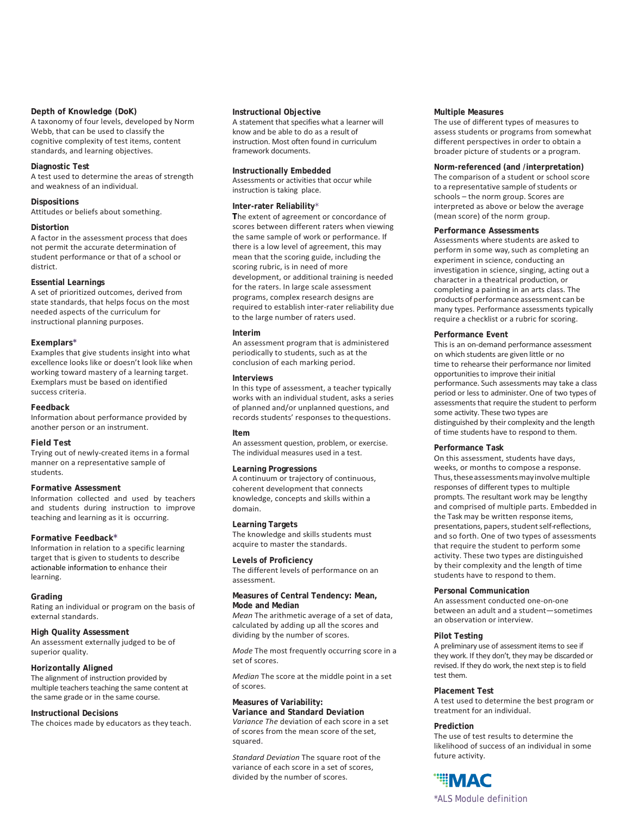## **Depth of Knowledge (DoK)**

A taxonomy of four levels, developed by Norm Webb, that can be used to classify the cognitive complexity of test items, content standards, and learning objectives.

## **Diagnostic Test**

A test used to determine the areas of strength and weakness of an individual.

## **Dispositions**

Attitudes or beliefs about something.

## **Distortion**

A factor in the assessment process that does not permit the accurate determination of student performance or that of a school or district.

## **Essential Learnings**

A set of prioritized outcomes, derived from state standards, that helps focus on the most needed aspects of the curriculum for instructional planning purposes.

## **Exemplars\***

Examples that give students insight into what excellence looks like or doesn't look like when working toward mastery of a learning target. Exemplars must be based on identified success criteria.

## **Feedback**

Information about performance provided by another person or an instrument.

#### **Field Test**

Trying out of newly-created items in a formal manner on a representative sample of students.

## **Formative Assessment**

Information collected and used by teachers and students during instruction to improve teaching and learning as it is occurring.

## **Formative Feedback\***

Information in relation to a specific learning target that is given to students to describe actionable information to enhance their learning.

## **Grading**

Rating an individual or program on the basis of external standards.

#### **High Quality Assessment**

An assessment externally judged to be of superior quality.

## **Horizontally Aligned**

The alignment of instruction provided by multiple teachers teaching the same content at the same grade or in the same course.

## **Instructional Decisions**

The choices made by educators as they teach.

#### **Instructional Objective**

A statement that specifies what a learner will know and be able to do as a result of instruction. Most often found in curriculum framework documents.

## **Instructionally Embedded**

Assessments or activities that occur while instruction is taking place.

## **Inter-rater Reliability**\*

**T**he extent of agreement or concordance of scores between different raters when viewing the same sample of work or performance. If there is a low level of agreement, this may mean that the scoring guide, including the scoring rubric, is in need of more development, or additional training is needed for the raters. In large scale assessment programs, complex research designs are required to establish inter-rater reliability due to the large number of raters used.

## **Interim**

An assessment program that is administered periodically to students, such as at the conclusion of each marking period.

## **Interviews**

In this type of assessment, a teacher typically works with an individual student, asks a series of planned and/or unplanned questions, and records students' responses to thequestions.

#### **Item**

An assessment question, problem, or exercise. The individual measures used in a test.

## **Learning Progressions**

A continuum or trajectory of continuous, coherent development that connects knowledge, concepts and skills within a domain.

#### **Learning Targets**

The knowledge and skills students must acquire to master the standards.

## **Levels of Proficiency**

The different levels of performance on an assessment.

## **Measures of Central Tendency: Mean, Mode and Median**

*Mean* The arithmetic average of a set of data, calculated by adding up all the scores and dividing by the number of scores.

*Mode* The most frequently occurring score in a set of scores.

*Median* The score at the middle point in a set of scores.

## **Measures of Variability:**

**Variance and Standard Deviation**  *Variance The* deviation of each score in a set of scores from the mean score of the set, squared.

*Standard Deviation* The square root of the variance of each score in a set of scores, divided by the number of scores.

## **Multiple Measures**

The use of different types of measures to assess students or programs from somewhat different perspectives in order to obtain a broader picture of students or a program.

## **Norm-referenced (and /interpretation)**

The comparison of a student or school score to a representative sample of students or schools – the norm group. Scores are interpreted as above or below the average (mean score) of the norm group.

#### **Performance Assessments**

Assessments where students are asked to perform in some way, such as completing an experiment in science, conducting an investigation in science, singing, acting out a character in a theatrical production, or completing a painting in an arts class. The products of performance assessment can be many types. Performance assessments typically require a checklist or a rubric for scoring.

## **Performance Event**

This is an on-demand performance assessment on which students are given little or no time to rehearse their performance nor limited opportunities to improve their initial performance. Such assessments may take a class period or less to administer. One of two types of assessments that require the student to perform some activity. These two types are distinguished by their complexity and the length of time students have to respond to them.

## **Performance Task**

On this assessment, students have days, weeks, or months to compose a response. Thus,theseassessmentsmayinvolvemultiple responses of different types to multiple prompts. The resultant work may be lengthy and comprised of multiple parts. Embedded in the Task may be written response items, presentations, papers, student self-reflections, and so forth. One of two types of assessments that require the student to perform some activity. These two types are distinguished by their complexity and the length of time students have to respond to them.

## **Personal Communication**

An assessment conducted one-on-one between an adult and a student—sometimes an observation or interview.

## **Pilot Testing**

A preliminary use of assessment items to see if they work. If they don't, they may be discarded or revised. If they do work, the next step is to field test them.

#### **Placement Test**

A test used to determine the best program or treatment for an individual.

## **Prediction**

The use of test results to determine the likelihood of success of an individual in some future activity.

# **"IMAC**

\*ALS Module definition